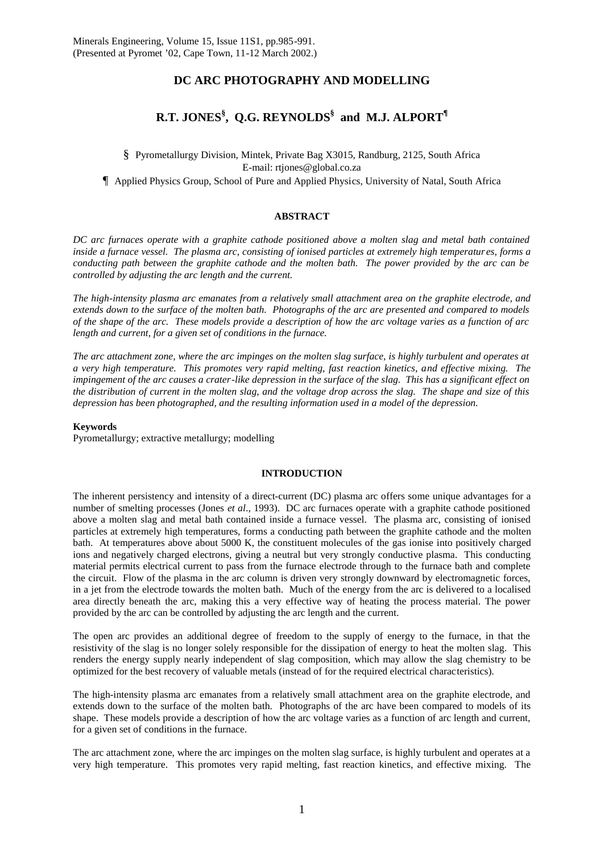## **DC ARC PHOTOGRAPHY AND MODELLING**

# **R.T. JONES§ , Q.G. REYNOLDS§ and M.J. ALPORT¶**

§ Pyrometallurgy Division, Mintek, Private Bag X3015, Randburg, 2125, South Africa E-mail: rtjones@global.co.za ¶ Applied Physics Group, School of Pure and Applied Physics, University of Natal, South Africa

**ABSTRACT**

*DC arc furnaces operate with a graphite cathode positioned above a molten slag and metal bath contained*  inside a furnace vessel. The plasma arc, consisting of ionised particles at extremely high temperatures, forms a *conducting path between the graphite cathode and the molten bath. The power provided by the arc can be controlled by adjusting the arc length and the current.*

*The high-intensity plasma arc emanates from a relatively small attachment area on the graphite electrode, and*  extends down to the surface of the molten bath. Photographs of the arc are presented and compared to models of the shape of the arc. These models provide a description of how the arc voltage varies as a function of arc *length and current, for a given set of conditions in the furnace.*

The arc attachment zone, where the arc impinges on the molten slag surface, is highly turbulent and operates at *a very high temperature. This promotes very rapid melting, fast reaction kinetics, and effective mixing. The impingement of the arc causes a crater-like depression in the surface of the slag. This has a significant effect on*  the distribution of current in the molten slag, and the voltage drop across the slag. The shape and size of this *depression has been photographed, and the resulting information used in a model of the depression.*

## **Keywords**

Pyrometallurgy; extractive metallurgy; modelling

## **INTRODUCTION**

The inherent persistency and intensity of a direct-current (DC) plasma arc offers some unique advantages for a number of smelting processes (Jones *et al*., 1993). DC arc furnaces operate with a graphite cathode positioned above a molten slag and metal bath contained inside a furnace vessel. The plasma arc, consisting of ionised particles at extremely high temperatures, forms a conducting path between the graphite cathode and the molten bath. At temperatures above about 5000 K, the constituent molecules of the gas ionise into positively charged ions and negatively charged electrons, giving a neutral but very strongly conductive plasma. This conducting material permits electrical current to pass from the furnace electrode through to the furnace bath and complete the circuit. Flow of the plasma in the arc column is driven very strongly downward by electromagnetic forces, in a jet from the electrode towards the molten bath. Much of the energy from the arc is delivered to a localised area directly beneath the arc, making this a very effective way of heating the process material. The power provided by the arc can be controlled by adjusting the arc length and the current.

The open arc provides an additional degree of freedom to the supply of energy to the furnace, in that the resistivity of the slag is no longer solely responsible for the dissipation of energy to heat the molten slag. This renders the energy supply nearly independent of slag composition, which may allow the slag chemistry to be optimized for the best recovery of valuable metals (instead of for the required electrical characteristics).

The high-intensity plasma arc emanates from a relatively small attachment area on the graphite electrode, and extends down to the surface of the molten bath. Photographs of the arc have been compared to models of its shape. These models provide a description of how the arc voltage varies as a function of arc length and current, for a given set of conditions in the furnace.

The arc attachment zone, where the arc impinges on the molten slag surface, is highly turbulent and operates at a very high temperature. This promotes very rapid melting, fast reaction kinetics, and effective mixing. The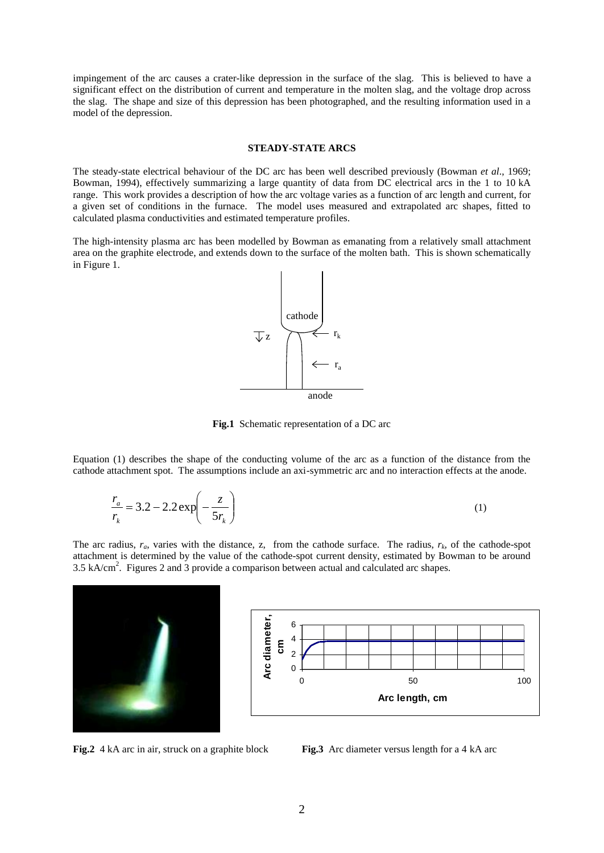impingement of the arc causes a crater-like depression in the surface of the slag. This is believed to have a significant effect on the distribution of current and temperature in the molten slag, and the voltage drop across the slag. The shape and size of this depression has been photographed, and the resulting information used in a model of the depression.

#### **STEADY-STATE ARCS**

The steady-state electrical behaviour of the DC arc has been well described previously (Bowman *et al*., 1969; Bowman, 1994), effectively summarizing a large quantity of data from DC electrical arcs in the 1 to 10 kA range. This work provides a description of how the arc voltage varies as a function of arc length and current, for a given set of conditions in the furnace. The model uses measured and extrapolated arc shapes, fitted to calculated plasma conductivities and estimated temperature profiles.

The high-intensity plasma arc has been modelled by Bowman as emanating from a relatively small attachment area on the graphite electrode, and extends down to the surface of the molten bath. This is shown schematically in Figure 1.



**Fig.1** Schematic representation of a DC arc

Equation (1) describes the shape of the conducting volume of the arc as a function of the distance from the cathode attachment spot. The assumptions include an axi-symmetric arc and no interaction effects at the anode.

$$
\frac{r_a}{r_k} = 3.2 - 2.2 \exp\left(-\frac{z}{5r_k}\right) \tag{1}
$$

The arc radius,  $r_a$ , varies with the distance, z, from the cathode surface. The radius,  $r_k$ , of the cathode-spot attachment is determined by the value of the cathode-spot current density, estimated by Bowman to be around 3.5 kA/cm<sup>2</sup>. Figures 2 and 3 provide a comparison between actual and calculated arc shapes.





**Fig.2** 4 kA arc in air, struck on a graphite block **Fig.3** Arc diameter versus length for a 4 kA arc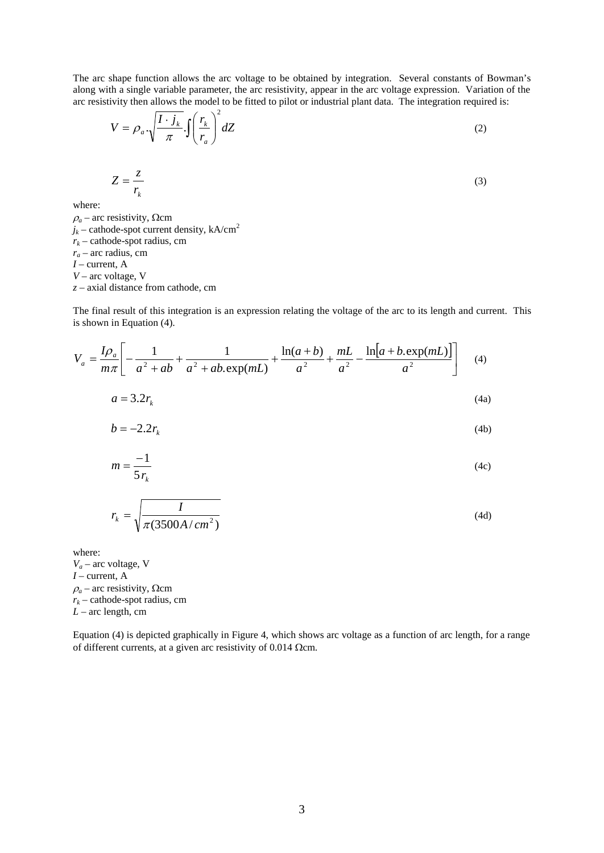The arc shape function allows the arc voltage to be obtained by integration. Several constants of Bowman's along with a single variable parameter, the arc resistivity, appear in the arc voltage expression. Variation of the arc resistivity then allows the model to be fitted to pilot or industrial plant data. The integration required is:

$$
V = \rho_a \cdot \sqrt{\frac{I \cdot j_k}{\pi}} \cdot \int \left(\frac{r_k}{r_a}\right)^2 dZ \tag{2}
$$

$$
Z = \frac{z}{r_k} \tag{3}
$$

where:

 $\rho_a$  – arc resistivity,  $\Omega$ cm  $j_k$  – cathode-spot current density, kA/cm<sup>2</sup>  $r_k$  – cathode-spot radius, cm *r<sup>a</sup>* – arc radius, cm *I* – current, A *V* – arc voltage, V *z* – axial distance from cathode, cm

The final result of this integration is an expression relating the voltage of the arc to its length and current. This is shown in Equation (4).

$$
V_a = \frac{I\rho_a}{m\pi} \left[ -\frac{1}{a^2 + ab} + \frac{1}{a^2 + ab \cdot \exp(mL)} + \frac{\ln(a+b)}{a^2} + \frac{mL}{a^2} - \frac{\ln[a+b \cdot \exp(mL)]}{a^2} \right]
$$
(4)

$$
a = 3.2r_k \tag{4a}
$$

$$
b = -2.2r_k \tag{4b}
$$

$$
m = \frac{-1}{5r_k} \tag{4c}
$$

$$
r_k = \sqrt{\frac{I}{\pi (3500A/cm^2)}}
$$
(4d)

where:

 $V_a$  – arc voltage, V *I* – current, A  $\rho_a$  – arc resistivity,  $\Omega$ cm  $r_k$  – cathode-spot radius, cm *L* – arc length, cm

Equation (4) is depicted graphically in Figure 4, which shows arc voltage as a function of arc length, for a range of different currents, at a given arc resistivity of  $0.014$   $\Omega$ cm.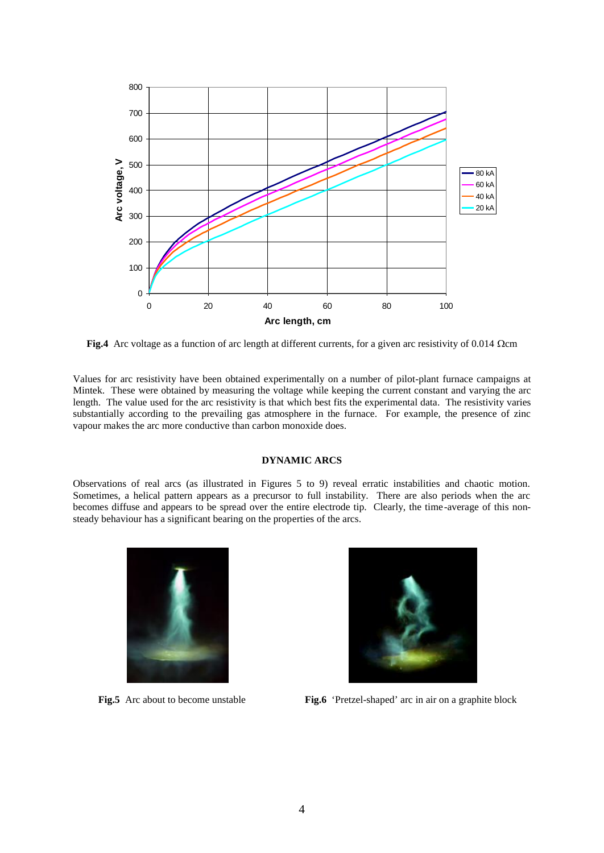

**Fig.4** Arc voltage as a function of arc length at different currents, for a given arc resistivity of 0.014  $\Omega$ cm

Values for arc resistivity have been obtained experimentally on a number of pilot-plant furnace campaigns at Mintek. These were obtained by measuring the voltage while keeping the current constant and varying the arc length. The value used for the arc resistivity is that which best fits the experimental data. The resistivity varies substantially according to the prevailing gas atmosphere in the furnace. For example, the presence of zinc vapour makes the arc more conductive than carbon monoxide does.

## **DYNAMIC ARCS**

Observations of real arcs (as illustrated in Figures 5 to 9) reveal erratic instabilities and chaotic motion. Sometimes, a helical pattern appears as a precursor to full instability. There are also periods when the arc becomes diffuse and appears to be spread over the entire electrode tip. Clearly, the time-average of this nonsteady behaviour has a significant bearing on the properties of the arcs.





**Fig.5** Arc about to become unstable **Fig.6** 'Pretzel-shaped' arc in air on a graphite block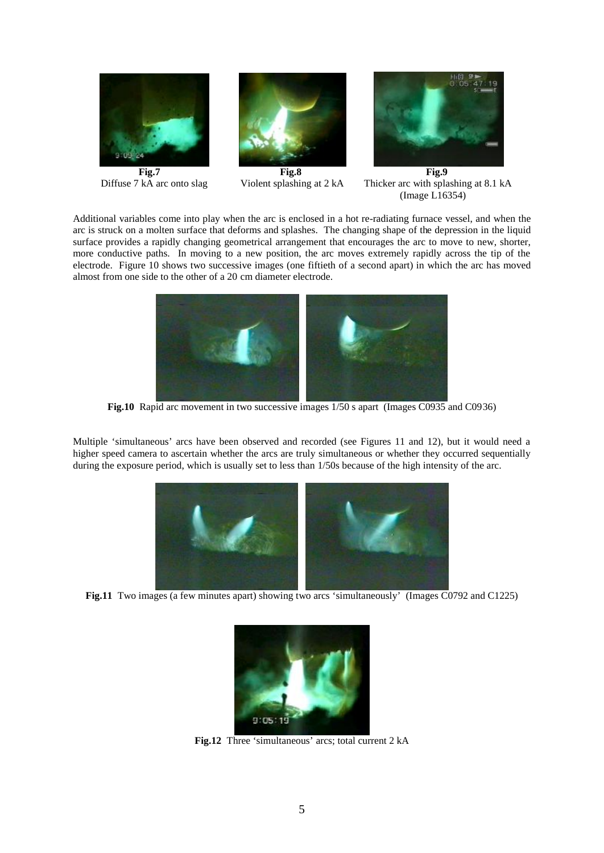

 **Fig.7 Fig.8 Fig.9**





 Diffuse 7 kA arc onto slag Violent splashing at 2 kA Thicker arc with splashing at 8.1 kA (Image L16354)

Additional variables come into play when the arc is enclosed in a hot re-radiating furnace vessel, and when the arc is struck on a molten surface that deforms and splashes. The changing shape of the depression in the liquid surface provides a rapidly changing geometrical arrangement that encourages the arc to move to new, shorter, more conductive paths. In moving to a new position, the arc moves extremely rapidly across the tip of the electrode. Figure 10 shows two successive images (one fiftieth of a second apart) in which the arc has moved almost from one side to the other of a 20 cm diameter electrode.



**Fig.10** Rapid arc movement in two successive images 1/50 s apart (Images C0935 and C0936)

Multiple 'simultaneous' arcs have been observed and recorded (see Figures 11 and 12), but it would need a higher speed camera to ascertain whether the arcs are truly simultaneous or whether they occurred sequentially during the exposure period, which is usually set to less than  $1/50s$  because of the high intensity of the arc.



**Fig.11** Two images (a few minutes apart) showing two arcs 'simultaneously' (Images C0792 and C1225)



**Fig.12** Three 'simultaneous' arcs; total current 2 kA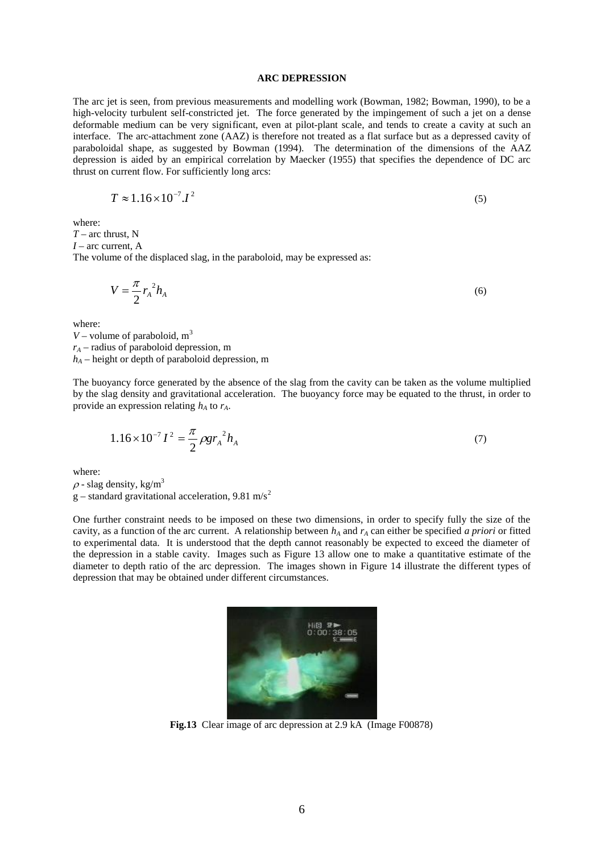## **ARC DEPRESSION**

The arc jet is seen, from previous measurements and modelling work (Bowman, 1982; Bowman, 1990), to be a high-velocity turbulent self-constricted jet. The force generated by the impingement of such a jet on a dense deformable medium can be very significant, even at pilot-plant scale, and tends to create a cavity at such an interface. The arc-attachment zone (AAZ) is therefore not treated as a flat surface but as a depressed cavity of paraboloidal shape, as suggested by Bowman (1994). The determination of the dimensions of the AAZ depression is aided by an empirical correlation by Maecker (1955) that specifies the dependence of DC arc thrust on current flow. For sufficiently long arcs:

$$
T \approx 1.16 \times 10^{-7} J^2 \tag{5}
$$

where:

*T* – arc thrust, N *I* – arc current, A The volume of the displaced slag, in the paraboloid, may be expressed as:

$$
V = \frac{\pi}{2} r_A^2 h_A \tag{6}
$$

where:

*V* – volume of paraboloid,  $m<sup>3</sup>$ *r<sup>A</sup>* – radius of paraboloid depression, m  $h_A$  – height or depth of paraboloid depression, m

The buoyancy force generated by the absence of the slag from the cavity can be taken as the volume multiplied by the slag density and gravitational acceleration. The buoyancy force may be equated to the thrust, in order to provide an expression relating  $h_A$  to  $r_A$ .

$$
1.16 \times 10^{-7} I^2 = \frac{\pi}{2} \rho g r_A^2 h_A \tag{7}
$$

where:

 $\rho$  - slag density, kg/m<sup>3</sup>  $g$  – standard gravitational acceleration, 9.81 m/s<sup>2</sup>

One further constraint needs to be imposed on these two dimensions, in order to specify fully the size of the cavity, as a function of the arc current. A relationship between  $h_A$  and  $r_A$  can either be specified *a priori* or fitted to experimental data. It is understood that the depth cannot reasonably be expected to exceed the diameter of the depression in a stable cavity. Images such as Figure 13 allow one to make a quantitative estimate of the diameter to depth ratio of the arc depression. The images shown in Figure 14 illustrate the different types of depression that may be obtained under different circumstances.



**Fig.13** Clear image of arc depression at 2.9 kA (Image F00878)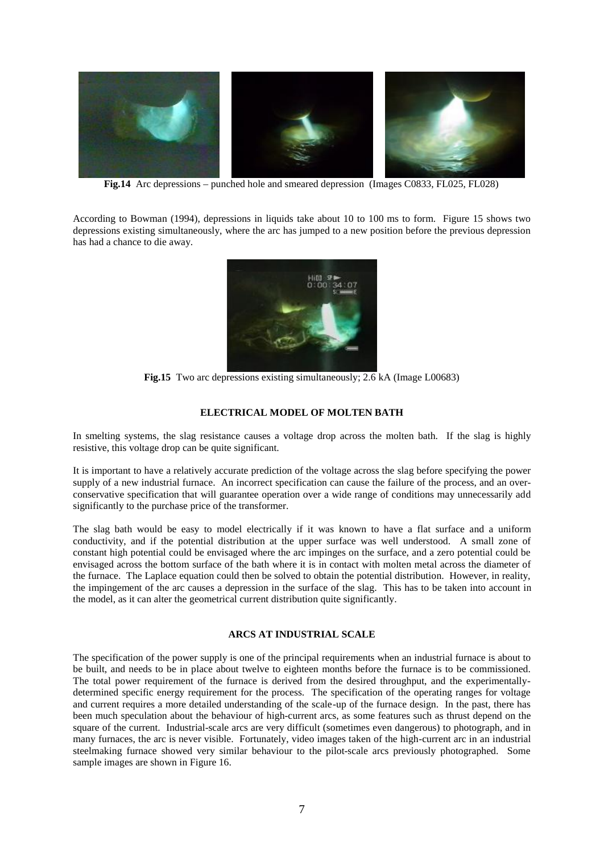

**Fig.14** Arc depressions – punched hole and smeared depression (Images C0833, FL025, FL028)

According to Bowman (1994), depressions in liquids take about 10 to 100 ms to form. Figure 15 shows two depressions existing simultaneously, where the arc has jumped to a new position before the previous depression has had a chance to die away.



**Fig.15** Two arc depressions existing simultaneously; 2.6 kA (Image L00683)

## **ELECTRICAL MODEL OF MOLTEN BATH**

In smelting systems, the slag resistance causes a voltage drop across the molten bath. If the slag is highly resistive, this voltage drop can be quite significant.

It is important to have a relatively accurate prediction of the voltage across the slag before specifying the power supply of a new industrial furnace. An incorrect specification can cause the failure of the process, and an overconservative specification that will guarantee operation over a wide range of conditions may unnecessarily add significantly to the purchase price of the transformer.

The slag bath would be easy to model electrically if it was known to have a flat surface and a uniform conductivity, and if the potential distribution at the upper surface was well understood. A small zone of constant high potential could be envisaged where the arc impinges on the surface, and a zero potential could be envisaged across the bottom surface of the bath where it is in contact with molten metal across the diameter of the furnace. The Laplace equation could then be solved to obtain the potential distribution. However, in reality, the impingement of the arc causes a depression in the surface of the slag. This has to be taken into account in the model, as it can alter the geometrical current distribution quite significantly.

## **ARCS AT INDUSTRIAL SCALE**

The specification of the power supply is one of the principal requirements when an industrial furnace is about to be built, and needs to be in place about twelve to eighteen months before the furnace is to be commissioned. The total power requirement of the furnace is derived from the desired throughput, and the experimentallydetermined specific energy requirement for the process. The specification of the operating ranges for voltage and current requires a more detailed understanding of the scale-up of the furnace design. In the past, there has been much speculation about the behaviour of high-current arcs, as some features such as thrust depend on the square of the current. Industrial-scale arcs are very difficult (sometimes even dangerous) to photograph, and in many furnaces, the arc is never visible. Fortunately, video images taken of the high-current arc in an industrial steelmaking furnace showed very similar behaviour to the pilot-scale arcs previously photographed. Some sample images are shown in Figure 16.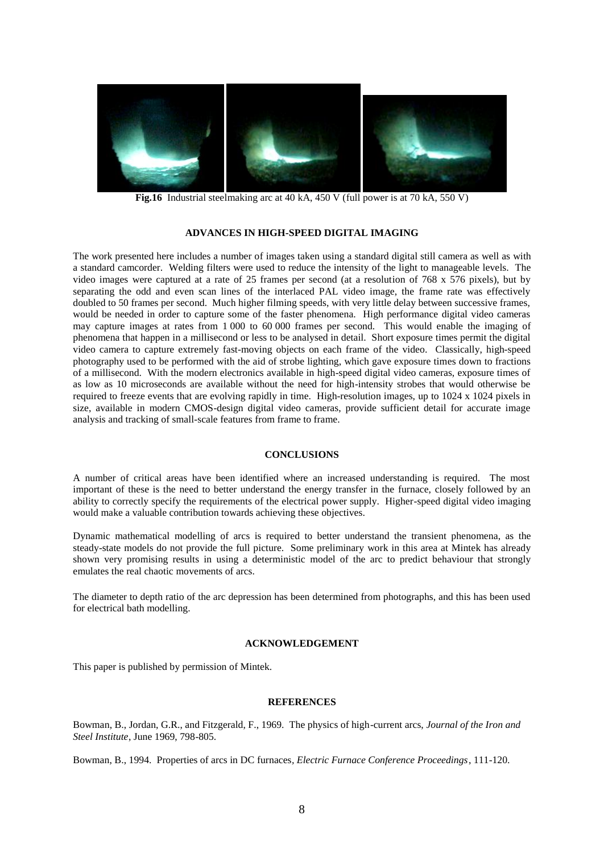

**Fig.16** Industrial steelmaking arc at 40 kA, 450 V (full power is at 70 kA, 550 V)

#### **ADVANCES IN HIGH-SPEED DIGITAL IMAGING**

The work presented here includes a number of images taken using a standard digital still camera as well as with a standard camcorder. Welding filters were used to reduce the intensity of the light to manageable levels. The video images were captured at a rate of 25 frames per second (at a resolution of 768 x 576 pixels), but by separating the odd and even scan lines of the interlaced PAL video image, the frame rate was effectively doubled to 50 frames per second. Much higher filming speeds, with very little delay between successive frames, would be needed in order to capture some of the faster phenomena. High performance digital video cameras may capture images at rates from 1 000 to 60 000 frames per second. This would enable the imaging of phenomena that happen in a millisecond or less to be analysed in detail. Short exposure times permit the digital video camera to capture extremely fast-moving objects on each frame of the video. Classically, high-speed photography used to be performed with the aid of strobe lighting, which gave exposure times down to fractions of a millisecond. With the modern electronics available in high-speed digital video cameras, exposure times of as low as 10 microseconds are available without the need for high-intensity strobes that would otherwise be required to freeze events that are evolving rapidly in time. High-resolution images, up to 1024 x 1024 pixels in size, available in modern CMOS-design digital video cameras, provide sufficient detail for accurate image analysis and tracking of small-scale features from frame to frame.

## **CONCLUSIONS**

A number of critical areas have been identified where an increased understanding is required. The most important of these is the need to better understand the energy transfer in the furnace, closely followed by an ability to correctly specify the requirements of the electrical power supply. Higher-speed digital video imaging would make a valuable contribution towards achieving these objectives.

Dynamic mathematical modelling of arcs is required to better understand the transient phenomena, as the steady-state models do not provide the full picture. Some preliminary work in this area at Mintek has already shown very promising results in using a deterministic model of the arc to predict behaviour that strongly emulates the real chaotic movements of arcs.

The diameter to depth ratio of the arc depression has been determined from photographs, and this has been used for electrical bath modelling.

## **ACKNOWLEDGEMENT**

This paper is published by permission of Mintek.

#### **REFERENCES**

Bowman, B., Jordan, G.R., and Fitzgerald, F., 1969. The physics of high-current arcs, *Journal of the Iron and Steel Institute*, June 1969, 798-805.

Bowman, B., 1994. Properties of arcs in DC furnaces*, Electric Furnace Conference Proceedings*, 111-120.